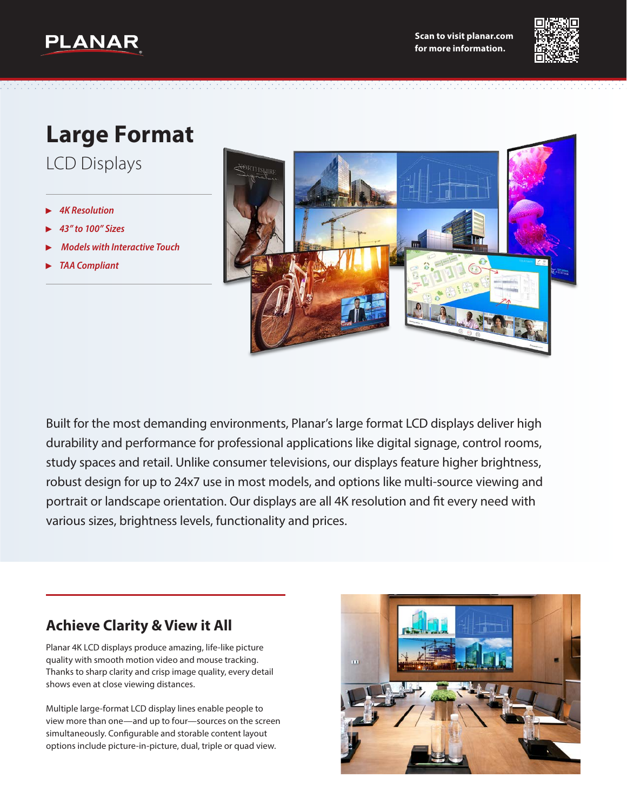



# **Large Format**

LCD Displays

- ▶ *4K Resolution*
- ▶ *43" to 100" Sizes*
- ▶ *Models with Interactive Touch*
- ▶ *TAA Compliant*



Built for the most demanding environments, Planar's large format LCD displays deliver high durability and performance for professional applications like digital signage, control rooms, study spaces and retail. Unlike consumer televisions, our displays feature higher brightness, robust design for up to 24x7 use in most models, and options like multi-source viewing and portrait or landscape orientation. Our displays are all 4K resolution and fit every need with various sizes, brightness levels, functionality and prices.

#### **Achieve Clarity & View it All**

Planar 4K LCD displays produce amazing, life-like picture quality with smooth motion video and mouse tracking. Thanks to sharp clarity and crisp image quality, every detail shows even at close viewing distances.

Multiple large-format LCD display lines enable people to view more than one—and up to four—sources on the screen simultaneously. Configurable and storable content layout options include picture-in-picture, dual, triple or quad view.

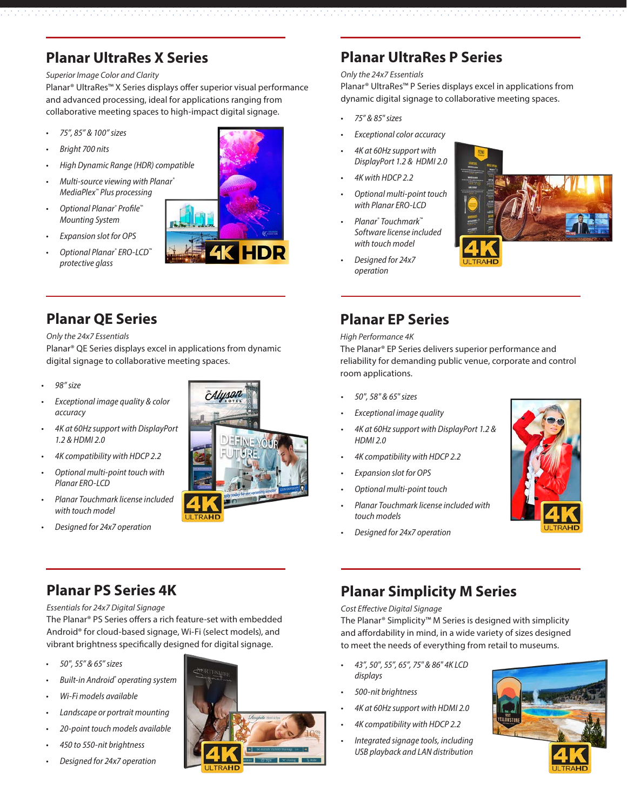## **Planar UltraRes X Series**

#### *Superior Image Color and Clarity*

Planar® UltraRes™ X Series displays offer superior visual performance and advanced processing, ideal for applications ranging from collaborative meeting spaces to high-impact digital signage. *• 75" & 85" sizes*

- *• 75", 85" & 100" sizes*
- *• Bright 700 nits*
- *• High Dynamic Range (HDR) compatible*
- *• Multi-source viewing with Planar® MediaPlex™ Plus processing*
- *• Optional Planar® Profile™ Mounting System*
- *• Expansion slot for OPS*
- *• Optional Planar® ERO-LCD™ protective glass*

#### **Planar QE Series**

*Only the 24x7 Essentials*

Planar® QE Series displays excel in applications from dynamic digital signage to collaborative meeting spaces.

- *• 98" size*
- *• Exceptional image quality & color accuracy*
- *• 4K at 60Hz support with DisplayPort 1.2 & HDMI 2.0*
- *• 4K compatibility with HDCP 2.2*
- *• Optional multi-point touch with Planar ERO-LCD*
- *• Planar Touchmark license included with touch model*
- *• Designed for 24x7 operation*



### **Planar UltraRes P Series**

#### *Only the 24x7 Essentials*

Planar® UltraRes™ P Series displays excel in applications from dynamic digital signage to collaborative meeting spaces.

- 
- *• Exceptional color accuracy*
- *• 4K at 60Hz support with DisplayPort 1.2 & HDMI 2.0*
- *• 4K with HDCP 2.2*
- *• Optional multi-point touch with Planar ERO-LCD*
- *• Planar® Touchmark™ Software license included with touch model*
- *• Designed for 24x7 operation*



### **Planar EP Series**

*High Performance 4K*

The Planar® EP Series delivers superior performance and reliability for demanding public venue, corporate and control room applications.

- *• 50", 58" & 65" sizes*
- *• Exceptional image quality*
- *• 4K at 60Hz support with DisplayPort 1.2 & HDMI 2.0*
- *• 4K compatibility with HDCP 2.2*
- *• Expansion slot for OPS*
- *• Optional multi-point touch*
- *• Planar Touchmark license included with touch models*
- *• Designed for 24x7 operation*



### **Planar PS Series 4K**

*Essentials for 24x7 Digital Signage*

The Planar® PS Series offers a rich feature-set with embedded Android® for cloud-based signage, Wi-Fi (select models), and vibrant brightness specifically designed for digital signage.

- *• 50", 55" & 65" sizes*
- *• Built-in Android® operating system*
- *• Wi-Fi models available*
- *• Landscape or portrait mounting*
- *• 20-point touch models available*
- *• 450 to 550-nit brightness*
- *• Designed for 24x7 operation*



### **Planar Simplicity M Series**

*Cost Effective Digital Signage*

The Planar® Simplicity™ M Series is designed with simplicity and affordability in mind, in a wide variety of sizes designed to meet the needs of everything from retail to museums.

- *• 43", 50", 55", 65", 75" & 86" 4K LCD displays*
- *• 500-nit brightness*
- *• 4K at 60Hz support with HDMI 2.0*
- *• 4K compatibility with HDCP 2.2*
- *• Integrated signage tools, including USB playback and LAN distribution*



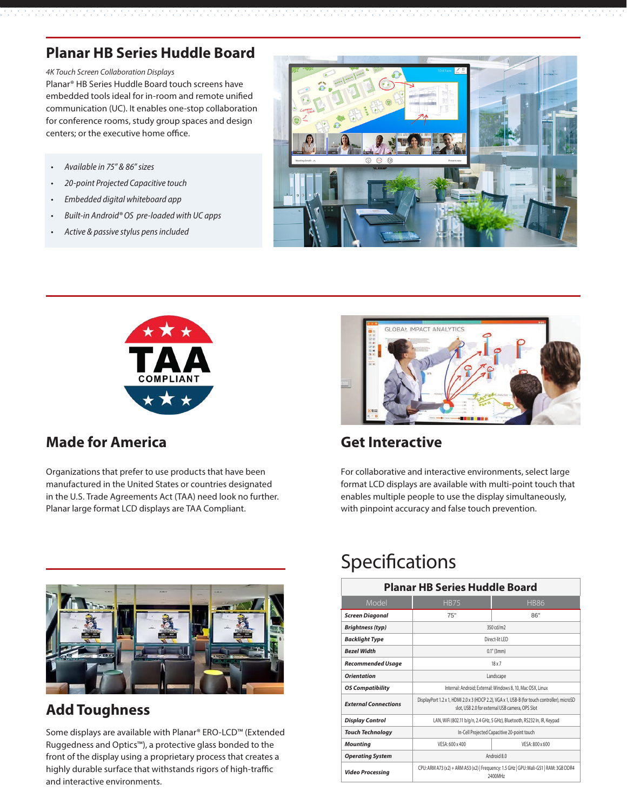## **Planar HB Series Huddle Board**

*4K Touch Screen Collaboration Displays*

Planar® HB Series Huddle Board touch screens have embedded tools ideal for in-room and remote unified communication (UC). It enables one-stop collaboration for conference rooms, study group spaces and design centers; or the executive home office.

- *• Available in 75" & 86" sizes*
- *• 20-point Projected Capacitive touch*
- *• Embedded digital whiteboard app*
- *• Built-in Android® OS pre-loaded with UC apps*
- *• Active & passive stylus pens included*





#### **Made for America Get Interactive**

Organizations that prefer to use products that have been manufactured in the United States or countries designated in the U.S. Trade Agreements Act (TAA) need look no further. Planar large format LCD displays are TAA Compliant.



For collaborative and interactive environments, select large format LCD displays are available with multi-point touch that enables multiple people to use the display simultaneously, with pinpoint accuracy and false touch prevention.



### **Add Toughness**

Some displays are available with Planar® ERO-LCD™ (Extended Ruggedness and Optics™), a protective glass bonded to the front of the display using a proprietary process that creates a highly durable surface that withstands rigors of high-traffic and interactive environments.

# Specifications

| <b>Planar HB Series Huddle Board</b> |                                                                                                                                                 |           |  |  |
|--------------------------------------|-------------------------------------------------------------------------------------------------------------------------------------------------|-----------|--|--|
| Model                                | <b>HB75</b><br><b>HB86</b>                                                                                                                      |           |  |  |
| <b>Screen Diagonal</b>               | 75"                                                                                                                                             | 86"       |  |  |
| <b>Brightness (typ)</b>              |                                                                                                                                                 | 350 cd/m2 |  |  |
| <b>Backlight Type</b>                | Direct-lit I FD                                                                                                                                 |           |  |  |
| <b>Rezel Width</b>                   | $0.1"$ (3mm)                                                                                                                                    |           |  |  |
| <b>Recommended Usage</b>             | $18 \times 7$                                                                                                                                   |           |  |  |
| Orientation                          | Landscape                                                                                                                                       |           |  |  |
| <b>OS Compatibility</b>              | Internal: Android; External: Windows 8, 10, Mac OSX, Linux                                                                                      |           |  |  |
| <b>External Connections</b>          | DisplayPort 1.2 x 1, HDMI 2.0 x 3 (HDCP 2.2), VGA x 1, USB-B (for touch controller), microSD<br>slot, USB 2.0 for external USB camera, OPS Slot |           |  |  |
| <b>Display Control</b>               | LAN, WiFi (802.11 b/g/n, 2.4 GHz, 5 GHz), Bluetooth, RS232 In, IR, Keypad                                                                       |           |  |  |
| <b>Touch Technology</b>              | In-Cell Projected Capacitive 20-point touch                                                                                                     |           |  |  |
| Mounting                             | VESA: 600 x 400<br>VESA: 800 x 600                                                                                                              |           |  |  |
| <b>Operating System</b>              | Android 8.0                                                                                                                                     |           |  |  |
| <b>Video Processing</b>              | CPU: ARM A73 (x2) + ARM A53 (x2)   Frequency: 1.5 GHz   GPU: Mali-G51   RAM: 3GB DDR4<br>2400MHz                                                |           |  |  |